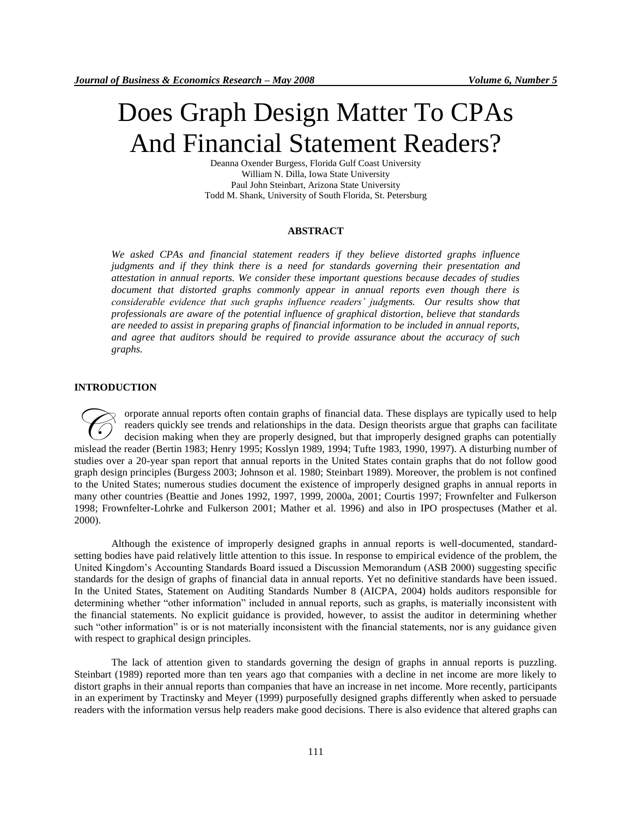# Does Graph Design Matter To CPAs And Financial Statement Readers?

Deanna Oxender Burgess, Florida Gulf Coast University William N. Dilla, Iowa State University Paul John Steinbart, Arizona State University Todd M. Shank, University of South Florida, St. Petersburg

#### **ABSTRACT**

*We asked CPAs and financial statement readers if they believe distorted graphs influence judgments and if they think there is a need for standards governing their presentation and attestation in annual reports. We consider these important questions because decades of studies document that distorted graphs commonly appear in annual reports even though there is considerable evidence that such graphs influence readers' judgments. Our results show that professionals are aware of the potential influence of graphical distortion, believe that standards are needed to assist in preparing graphs of financial information to be included in annual reports, and agree that auditors should be required to provide assurance about the accuracy of such graphs.* 

#### **INTRODUCTION**

orporate annual reports often contain graphs of financial data. These displays are typically used to help readers quickly see trends and relationships in the data. Design theorists argue that graphs can facilitate decision making when they are properly designed, but that improperly designed graphs can potentially The readers quickly see trends and relationships in the data. These displays are typically used to help readers quickly see trends and relationships in the data. Design theorists argue that graphs can facilitate decision m studies over a 20-year span report that annual reports in the United States contain graphs that do not follow good graph design principles (Burgess 2003; Johnson et al. 1980; Steinbart 1989). Moreover, the problem is not confined to the United States; numerous studies document the existence of improperly designed graphs in annual reports in many other countries (Beattie and Jones 1992, 1997, 1999, 2000a, 2001; Courtis 1997; Frownfelter and Fulkerson 1998; Frownfelter-Lohrke and Fulkerson 2001; Mather et al. 1996) and also in IPO prospectuses (Mather et al. 2000).

Although the existence of improperly designed graphs in annual reports is well-documented, standardsetting bodies have paid relatively little attention to this issue. In response to empirical evidence of the problem, the United Kingdom's Accounting Standards Board issued a Discussion Memorandum (ASB 2000) suggesting specific standards for the design of graphs of financial data in annual reports. Yet no definitive standards have been issued. In the United States, Statement on Auditing Standards Number 8 (AICPA, 2004) holds auditors responsible for determining whether "other information" included in annual reports, such as graphs, is materially inconsistent with the financial statements. No explicit guidance is provided, however, to assist the auditor in determining whether such "other information" is or is not materially inconsistent with the financial statements, nor is any guidance given with respect to graphical design principles.

The lack of attention given to standards governing the design of graphs in annual reports is puzzling. Steinbart (1989) reported more than ten years ago that companies with a decline in net income are more likely to distort graphs in their annual reports than companies that have an increase in net income. More recently, participants in an experiment by Tractinsky and Meyer (1999) purposefully designed graphs differently when asked to persuade readers with the information versus help readers make good decisions. There is also evidence that altered graphs can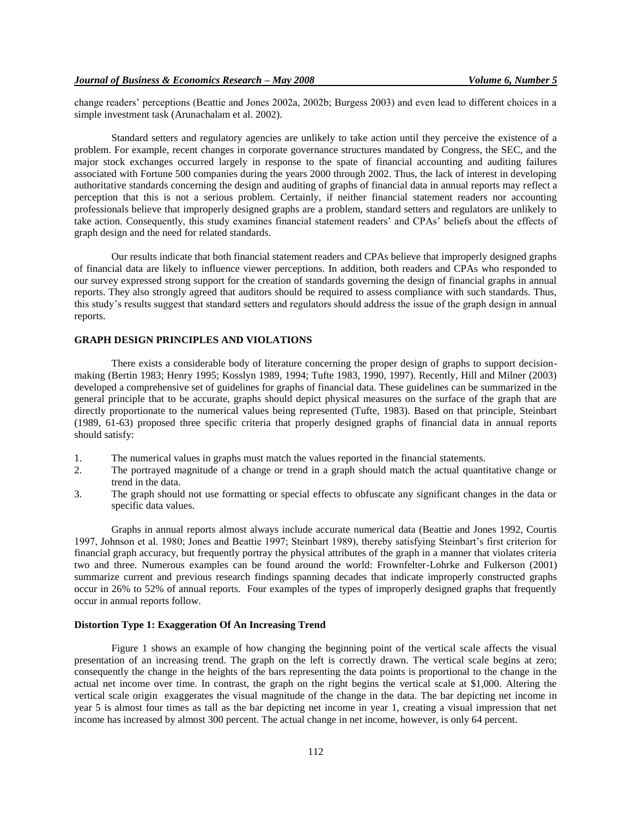change readers' perceptions (Beattie and Jones 2002a, 2002b; Burgess 2003) and even lead to different choices in a simple investment task (Arunachalam et al. 2002).

Standard setters and regulatory agencies are unlikely to take action until they perceive the existence of a problem. For example, recent changes in corporate governance structures mandated by Congress, the SEC, and the major stock exchanges occurred largely in response to the spate of financial accounting and auditing failures associated with Fortune 500 companies during the years 2000 through 2002. Thus, the lack of interest in developing authoritative standards concerning the design and auditing of graphs of financial data in annual reports may reflect a perception that this is not a serious problem. Certainly, if neither financial statement readers nor accounting professionals believe that improperly designed graphs are a problem, standard setters and regulators are unlikely to take action. Consequently, this study examines financial statement readers' and CPAs' beliefs about the effects of graph design and the need for related standards.

Our results indicate that both financial statement readers and CPAs believe that improperly designed graphs of financial data are likely to influence viewer perceptions. In addition, both readers and CPAs who responded to our survey expressed strong support for the creation of standards governing the design of financial graphs in annual reports. They also strongly agreed that auditors should be required to assess compliance with such standards. Thus, this study's results suggest that standard setters and regulators should address the issue of the graph design in annual reports.

#### **GRAPH DESIGN PRINCIPLES AND VIOLATIONS**

There exists a considerable body of literature concerning the proper design of graphs to support decisionmaking (Bertin 1983; Henry 1995; Kosslyn 1989, 1994; Tufte 1983, 1990, 1997). Recently, Hill and Milner (2003) developed a comprehensive set of guidelines for graphs of financial data. These guidelines can be summarized in the general principle that to be accurate, graphs should depict physical measures on the surface of the graph that are directly proportionate to the numerical values being represented (Tufte, 1983). Based on that principle, Steinbart (1989, 61-63) proposed three specific criteria that properly designed graphs of financial data in annual reports should satisfy:

- 1. The numerical values in graphs must match the values reported in the financial statements.
- 2. The portrayed magnitude of a change or trend in a graph should match the actual quantitative change or trend in the data.
- 3. The graph should not use formatting or special effects to obfuscate any significant changes in the data or specific data values.

Graphs in annual reports almost always include accurate numerical data (Beattie and Jones 1992, Courtis 1997, Johnson et al. 1980; Jones and Beattie 1997; Steinbart 1989), thereby satisfying Steinbart's first criterion for financial graph accuracy, but frequently portray the physical attributes of the graph in a manner that violates criteria two and three. Numerous examples can be found around the world: Frownfelter-Lohrke and Fulkerson (2001) summarize current and previous research findings spanning decades that indicate improperly constructed graphs occur in 26% to 52% of annual reports. Four examples of the types of improperly designed graphs that frequently occur in annual reports follow.

#### **Distortion Type 1: Exaggeration Of An Increasing Trend**

Figure 1 shows an example of how changing the beginning point of the vertical scale affects the visual presentation of an increasing trend. The graph on the left is correctly drawn. The vertical scale begins at zero; consequently the change in the heights of the bars representing the data points is proportional to the change in the actual net income over time. In contrast, the graph on the right begins the vertical scale at \$1,000. Altering the vertical scale origin exaggerates the visual magnitude of the change in the data. The bar depicting net income in year 5 is almost four times as tall as the bar depicting net income in year 1, creating a visual impression that net income has increased by almost 300 percent. The actual change in net income, however, is only 64 percent.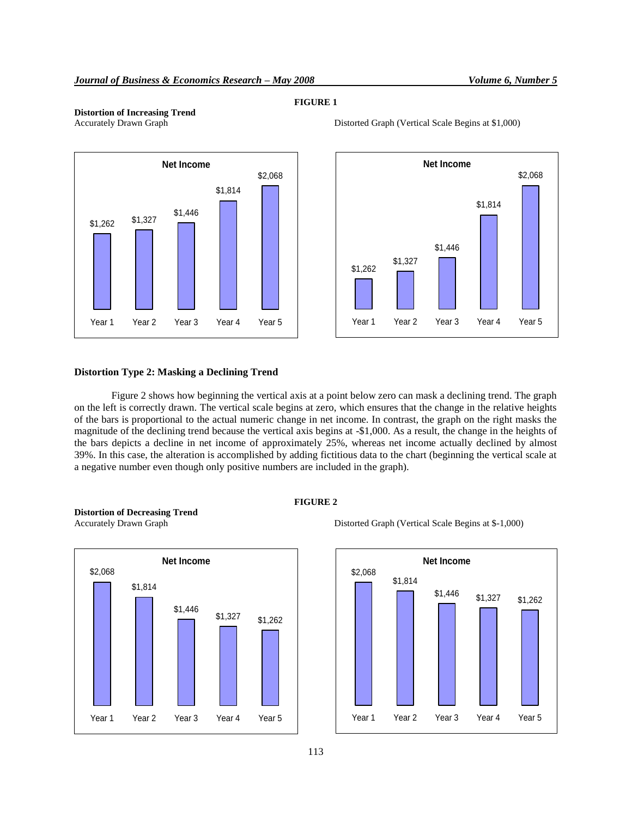#### **FIGURE 1**

## **Distortion of Increasing Trend**





Distorted Graph (Vertical Scale Begins at \$1,000)

#### **Distortion Type 2: Masking a Declining Trend**

Figure 2 shows how beginning the vertical axis at a point below zero can mask a declining trend. The graph on the left is correctly drawn. The vertical scale begins at zero, which ensures that the change in the relative heights of the bars is proportional to the actual numeric change in net income. In contrast, the graph on the right masks the magnitude of the declining trend because the vertical axis begins at -\$1,000. As a result, the change in the heights of the bars depicts a decline in net income of approximately 25%, whereas net income actually declined by almost 39%. In this case, the alteration is accomplished by adding fictitious data to the chart (beginning the vertical scale at a negative number even though only positive numbers are included in the graph).



**Distortion of Decreasing Trend**



Accurately Drawn Graph Distorted Graph (Vertical Scale Begins at \$-1,000)

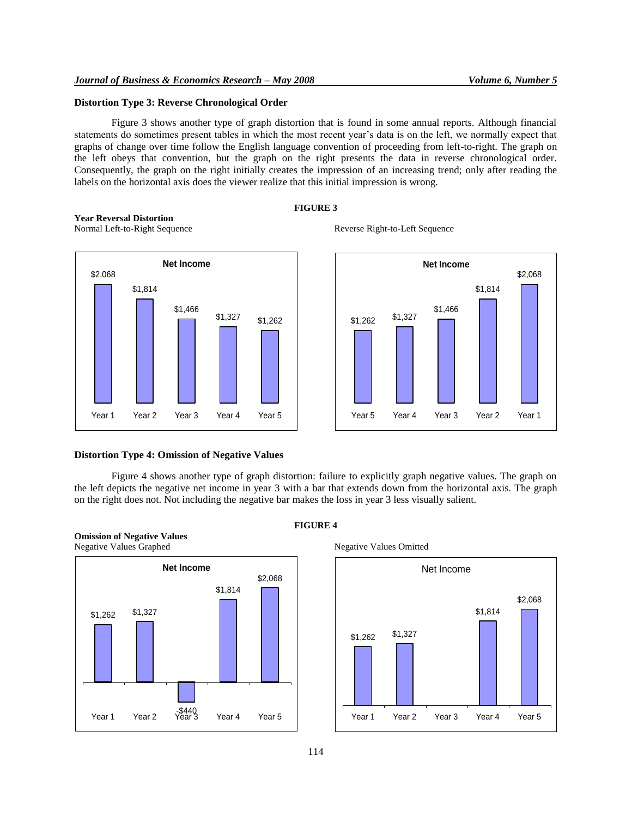#### **Distortion Type 3: Reverse Chronological Order**

Figure 3 shows another type of graph distortion that is found in some annual reports. Although financial statements do sometimes present tables in which the most recent year's data is on the left, we normally expect that graphs of change over time follow the English language convention of proceeding from left-to-right. The graph on the left obeys that convention, but the graph on the right presents the data in reverse chronological order. Consequently, the graph on the right initially creates the impression of an increasing trend; only after reading the labels on the horizontal axis does the viewer realize that this initial impression is wrong.

#### **FIGURE 3**







#### **Distortion Type 4: Omission of Negative Values**

Figure 4 shows another type of graph distortion: failure to explicitly graph negative values. The graph on the left depicts the negative net income in year 3 with a bar that extends down from the horizontal axis. The graph on the right does not. Not including the negative bar makes the loss in year 3 less visually salient.





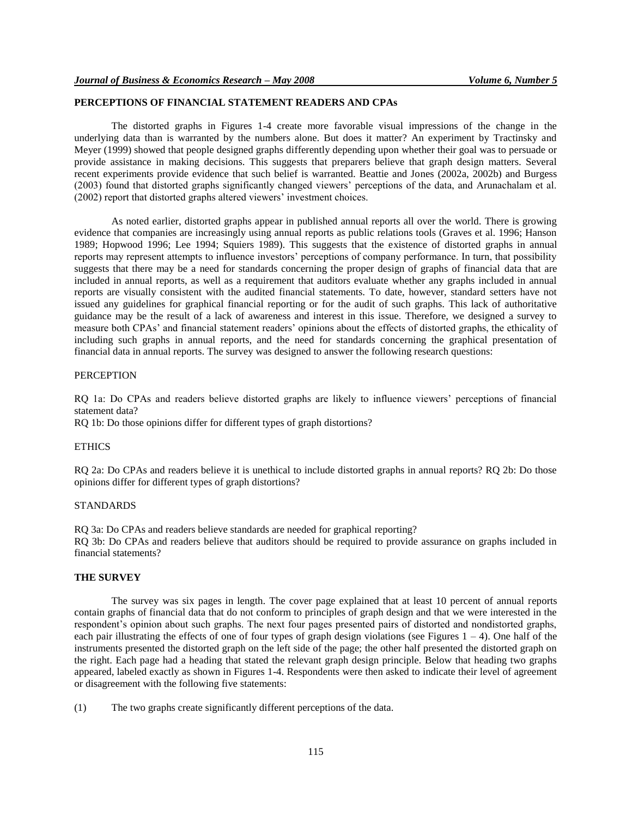#### **PERCEPTIONS OF FINANCIAL STATEMENT READERS AND CPAs**

The distorted graphs in Figures 1-4 create more favorable visual impressions of the change in the underlying data than is warranted by the numbers alone. But does it matter? An experiment by Tractinsky and Meyer (1999) showed that people designed graphs differently depending upon whether their goal was to persuade or provide assistance in making decisions. This suggests that preparers believe that graph design matters. Several recent experiments provide evidence that such belief is warranted. Beattie and Jones (2002a, 2002b) and Burgess (2003) found that distorted graphs significantly changed viewers' perceptions of the data, and Arunachalam et al. (2002) report that distorted graphs altered viewers' investment choices.

As noted earlier, distorted graphs appear in published annual reports all over the world. There is growing evidence that companies are increasingly using annual reports as public relations tools (Graves et al. 1996; Hanson 1989; Hopwood 1996; Lee 1994; Squiers 1989). This suggests that the existence of distorted graphs in annual reports may represent attempts to influence investors' perceptions of company performance. In turn, that possibility suggests that there may be a need for standards concerning the proper design of graphs of financial data that are included in annual reports, as well as a requirement that auditors evaluate whether any graphs included in annual reports are visually consistent with the audited financial statements. To date, however, standard setters have not issued any guidelines for graphical financial reporting or for the audit of such graphs. This lack of authoritative guidance may be the result of a lack of awareness and interest in this issue. Therefore, we designed a survey to measure both CPAs' and financial statement readers' opinions about the effects of distorted graphs, the ethicality of including such graphs in annual reports, and the need for standards concerning the graphical presentation of financial data in annual reports. The survey was designed to answer the following research questions:

#### **PERCEPTION**

RQ 1a: Do CPAs and readers believe distorted graphs are likely to influence viewers' perceptions of financial statement data?

RQ 1b: Do those opinions differ for different types of graph distortions?

#### ETHICS

RQ 2a: Do CPAs and readers believe it is unethical to include distorted graphs in annual reports? RQ 2b: Do those opinions differ for different types of graph distortions?

#### STANDARDS

RQ 3a: Do CPAs and readers believe standards are needed for graphical reporting? RQ 3b: Do CPAs and readers believe that auditors should be required to provide assurance on graphs included in financial statements?

#### **THE SURVEY**

The survey was six pages in length. The cover page explained that at least 10 percent of annual reports contain graphs of financial data that do not conform to principles of graph design and that we were interested in the respondent's opinion about such graphs. The next four pages presented pairs of distorted and nondistorted graphs, each pair illustrating the effects of one of four types of graph design violations (see Figures  $1 - 4$ ). One half of the instruments presented the distorted graph on the left side of the page; the other half presented the distorted graph on the right. Each page had a heading that stated the relevant graph design principle. Below that heading two graphs appeared, labeled exactly as shown in Figures 1-4. Respondents were then asked to indicate their level of agreement or disagreement with the following five statements:

(1) The two graphs create significantly different perceptions of the data.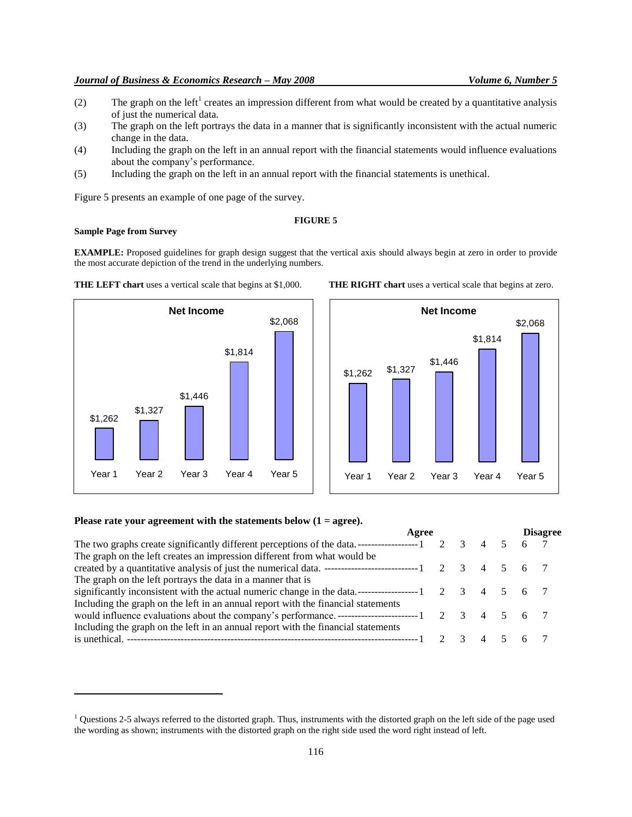### *Journal of Business & Economics Research – May 2008 Volume 6, Number 5*

- (2) The graph on the left<sup>1</sup> creates an impression different from what would be created by a quantitative analysis of just the numerical data.
- (3) The graph on the left portrays the data in a manner that is significantly inconsistent with the actual numeric change in the data.
- (4) Including the graph on the left in an annual report with the financial statements would influence evaluations about the company's performance.
- (5) Including the graph on the left in an annual report with the financial statements is unethical.

\$2,068

Figure 5 presents an example of one page of the survey.

#### **FIGURE 5**

#### **Sample Page from Survey**

\$1,262

\$1,327

 $\overline{a}$ 

**EXAMPLE:** Proposed guidelines for graph design suggest that the vertical axis should always begin at zero in order to provide the most accurate depiction of the trend in the underlying numbers.



**Net Income**

\$1,446

Year 1 Year 2 Year 3 Year 4 Year 5

\$1,814

## **Please rate your agreement with the statements below (1 = agree).**

|                                                                                   | Agree |              |  |       | <b>Disagree</b> |  |  |
|-----------------------------------------------------------------------------------|-------|--------------|--|-------|-----------------|--|--|
|                                                                                   |       | $2 \sqrt{3}$ |  |       | 4 5 6 7         |  |  |
| The graph on the left creates an impression different from what would be          |       |              |  |       |                 |  |  |
|                                                                                   |       |              |  |       |                 |  |  |
| The graph on the left portrays the data in a manner that is                       |       |              |  |       |                 |  |  |
|                                                                                   |       |              |  |       |                 |  |  |
| Including the graph on the left in an annual report with the financial statements |       |              |  |       |                 |  |  |
|                                                                                   |       |              |  |       |                 |  |  |
| Including the graph on the left in an annual report with the financial statements |       |              |  |       |                 |  |  |
|                                                                                   |       |              |  | 4 5 6 |                 |  |  |



<sup>&</sup>lt;sup>1</sup> Questions 2-5 always referred to the distorted graph. Thus, instruments with the distorted graph on the left side of the page used the wording as shown; instruments with the distorted graph on the right side used the word right instead of left.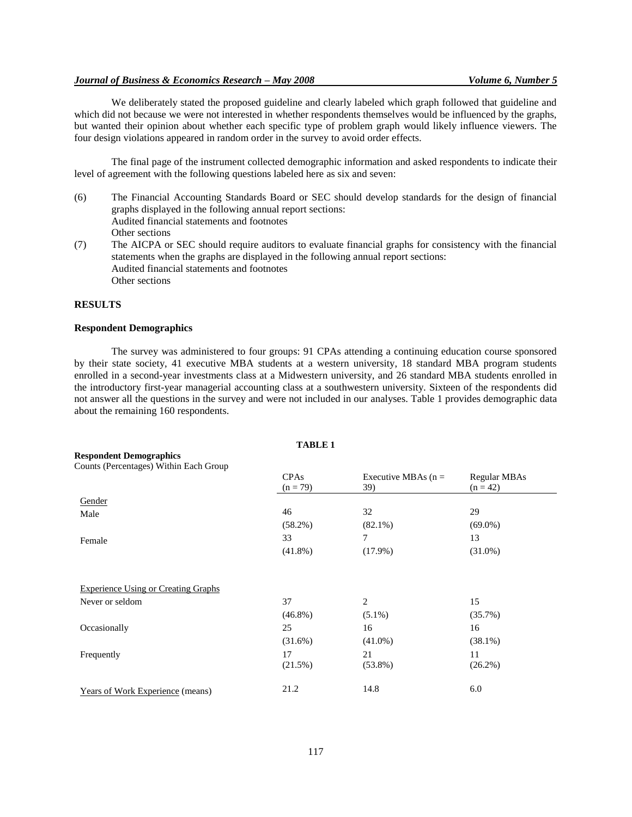#### *Journal of Business & Economics Research – May 2008 Volume 6, Number 5*

We deliberately stated the proposed guideline and clearly labeled which graph followed that guideline and which did not because we were not interested in whether respondents themselves would be influenced by the graphs, but wanted their opinion about whether each specific type of problem graph would likely influence viewers. The four design violations appeared in random order in the survey to avoid order effects.

The final page of the instrument collected demographic information and asked respondents to indicate their level of agreement with the following questions labeled here as six and seven:

- (6) The Financial Accounting Standards Board or SEC should develop standards for the design of financial graphs displayed in the following annual report sections: Audited financial statements and footnotes Other sections
- (7) The AICPA or SEC should require auditors to evaluate financial graphs for consistency with the financial statements when the graphs are displayed in the following annual report sections: Audited financial statements and footnotes Other sections

#### **RESULTS**

#### **Respondent Demographics**

The survey was administered to four groups: 91 CPAs attending a continuing education course sponsored by their state society, 41 executive MBA students at a western university, 18 standard MBA program students enrolled in a second-year investments class at a Midwestern university, and 26 standard MBA students enrolled in the introductory first-year managerial accounting class at a southwestern university. Sixteen of the respondents did not answer all the questions in the survey and were not included in our analyses. Table 1 provides demographic data about the remaining 160 respondents.

**TABLE 1**

|                                            | 1710LC 1    |                       |              |
|--------------------------------------------|-------------|-----------------------|--------------|
| <b>Respondent Demographics</b>             |             |                       |              |
| Counts (Percentages) Within Each Group     |             |                       |              |
|                                            | <b>CPAs</b> | Executive MBAs $(n =$ | Regular MBAs |
|                                            | $(n = 79)$  | 39)                   | $(n = 42)$   |
| Gender                                     |             |                       |              |
| Male                                       | 46          | 32                    | 29           |
|                                            | $(58.2\%)$  | $(82.1\%)$            | $(69.0\%)$   |
| Female                                     | 33          | 7                     | 13           |
|                                            | $(41.8\%)$  | $(17.9\%)$            | $(31.0\%)$   |
|                                            |             |                       |              |
| <b>Experience Using or Creating Graphs</b> |             |                       |              |
| Never or seldom                            | 37          | $\mathbf{2}$          | 15           |
|                                            | $(46.8\%)$  | $(5.1\%)$             | (35.7%)      |
| Occasionally                               | 25          | 16                    | 16           |
|                                            | (31.6%)     | $(41.0\%)$            | $(38.1\%)$   |
| Frequently                                 | 17          | 21                    | 11           |
|                                            | (21.5%)     | $(53.8\%)$            | (26.2%)      |
| <b>Years of Work Experience (means)</b>    | 21.2        | 14.8                  | 6.0          |
|                                            |             |                       |              |

117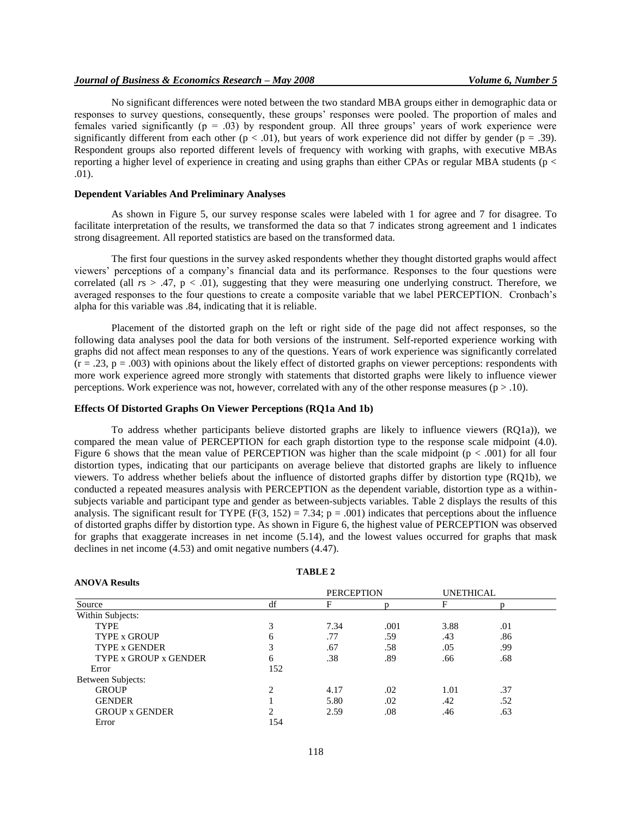#### *Journal of Business & Economics Research – May 2008 Volume 6, Number 5*

No significant differences were noted between the two standard MBA groups either in demographic data or responses to survey questions, consequently, these groups' responses were pooled. The proportion of males and females varied significantly (p = .03) by respondent group. All three groups' years of work experience were significantly different from each other ( $p < .01$ ), but years of work experience did not differ by gender ( $p = .39$ ). Respondent groups also reported different levels of frequency with working with graphs, with executive MBAs reporting a higher level of experience in creating and using graphs than either CPAs or regular MBA students ( $p <$ .01).

#### **Dependent Variables And Preliminary Analyses**

As shown in Figure 5, our survey response scales were labeled with 1 for agree and 7 for disagree. To facilitate interpretation of the results, we transformed the data so that 7 indicates strong agreement and 1 indicates strong disagreement. All reported statistics are based on the transformed data.

The first four questions in the survey asked respondents whether they thought distorted graphs would affect viewers' perceptions of a company's financial data and its performance. Responses to the four questions were correlated (all  $rs > .47$ ,  $p < .01$ ), suggesting that they were measuring one underlying construct. Therefore, we averaged responses to the four questions to create a composite variable that we label PERCEPTION. Cronbach's alpha for this variable was .84, indicating that it is reliable.

Placement of the distorted graph on the left or right side of the page did not affect responses, so the following data analyses pool the data for both versions of the instrument. Self-reported experience working with graphs did not affect mean responses to any of the questions. Years of work experience was significantly correlated  $(r = .23, p = .003)$  with opinions about the likely effect of distorted graphs on viewer perceptions: respondents with more work experience agreed more strongly with statements that distorted graphs were likely to influence viewer perceptions. Work experience was not, however, correlated with any of the other response measures ( $p > .10$ ).

#### **Effects Of Distorted Graphs On Viewer Perceptions (RQ1a And 1b)**

To address whether participants believe distorted graphs are likely to influence viewers (RQ1a)), we compared the mean value of PERCEPTION for each graph distortion type to the response scale midpoint (4.0). Figure 6 shows that the mean value of PERCEPTION was higher than the scale midpoint  $(p < .001)$  for all four distortion types, indicating that our participants on average believe that distorted graphs are likely to influence viewers. To address whether beliefs about the influence of distorted graphs differ by distortion type (RQ1b), we conducted a repeated measures analysis with PERCEPTION as the dependent variable, distortion type as a withinsubjects variable and participant type and gender as between-subjects variables. Table 2 displays the results of this analysis. The significant result for TYPE (F(3, 152) = 7.34; p = .001) indicates that perceptions about the influence of distorted graphs differ by distortion type. As shown in Figure 6, the highest value of PERCEPTION was observed for graphs that exaggerate increases in net income (5.14), and the lowest values occurred for graphs that mask declines in net income (4.53) and omit negative numbers (4.47).

| <b>ANOVA Results</b>  |                |                   |      |                  |     |  |
|-----------------------|----------------|-------------------|------|------------------|-----|--|
|                       |                | <b>PERCEPTION</b> |      | <b>UNETHICAL</b> |     |  |
| Source                | df             | F                 | D    | F                | n   |  |
| Within Subjects:      |                |                   |      |                  |     |  |
| <b>TYPE</b>           | 3              | 7.34              | .001 | 3.88             | .01 |  |
| <b>TYPE x GROUP</b>   | 6              | .77               | .59  | .43              | .86 |  |
| <b>TYPE x GENDER</b>  | 3              | .67               | .58  | .05              | .99 |  |
| TYPE x GROUP x GENDER | 6              | .38               | .89  | .66              | .68 |  |
| Error                 | 152            |                   |      |                  |     |  |
| Between Subjects:     |                |                   |      |                  |     |  |
| <b>GROUP</b>          | $\overline{c}$ | 4.17              | .02  | 1.01             | .37 |  |
| <b>GENDER</b>         |                | 5.80              | .02  | .42              | .52 |  |
| <b>GROUP x GENDER</b> | C              | 2.59              | .08  | .46              | .63 |  |
| Error                 | 154            |                   |      |                  |     |  |

#### **TABLE 2**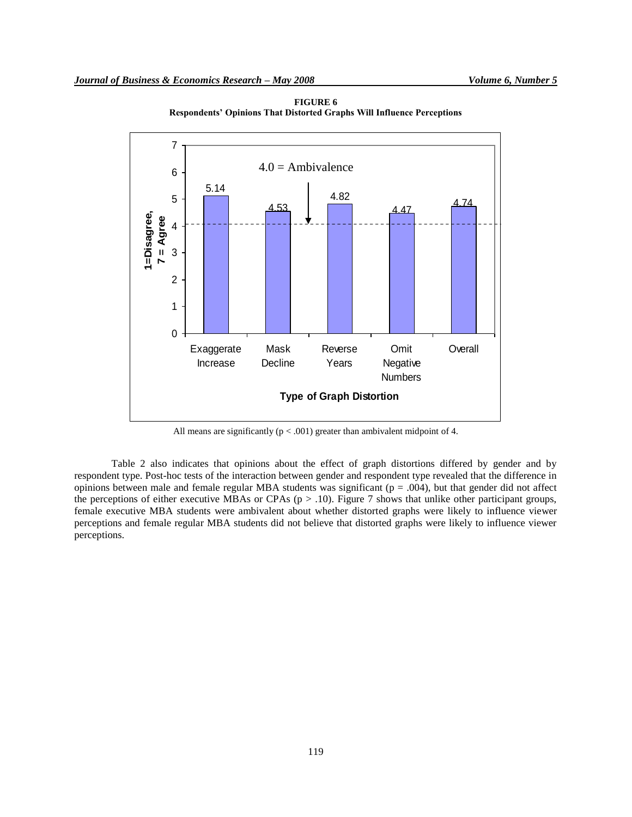

**FIGURE 6 Respondents' Opinions That Distorted Graphs Will Influence Perceptions**

All means are significantly  $(p < .001)$  greater than ambivalent midpoint of 4.

Table 2 also indicates that opinions about the effect of graph distortions differed by gender and by respondent type. Post-hoc tests of the interaction between gender and respondent type revealed that the difference in opinions between male and female regular MBA students was significant ( $p = .004$ ), but that gender did not affect the perceptions of either executive MBAs or CPAs ( $p > .10$ ). Figure 7 shows that unlike other participant groups, female executive MBA students were ambivalent about whether distorted graphs were likely to influence viewer perceptions and female regular MBA students did not believe that distorted graphs were likely to influence viewer perceptions.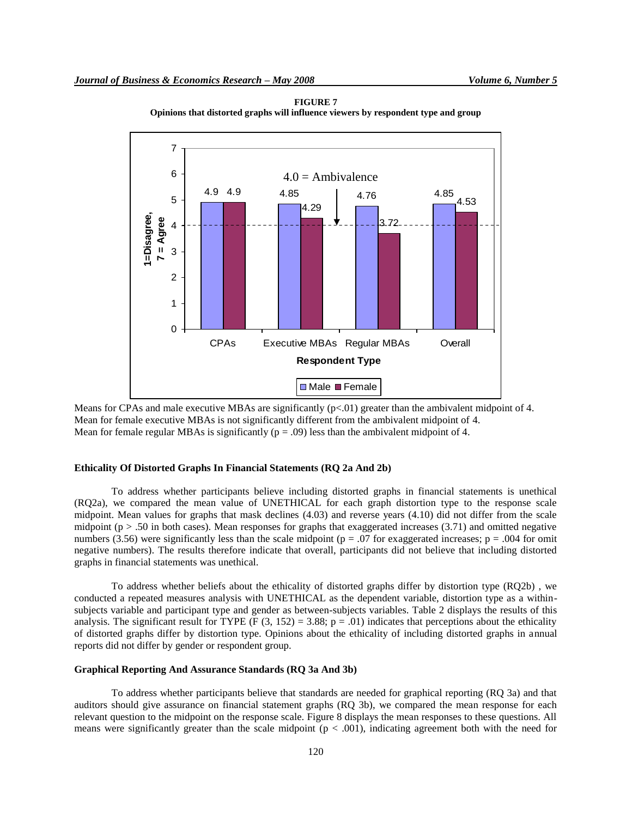

**FIGURE 7 Opinions that distorted graphs will influence viewers by respondent type and group**

Means for CPAs and male executive MBAs are significantly  $(p<0.01)$  greater than the ambivalent midpoint of 4. Mean for female executive MBAs is not significantly different from the ambivalent midpoint of 4. Mean for female regular MBAs is significantly ( $p = .09$ ) less than the ambivalent midpoint of 4.

#### **Ethicality Of Distorted Graphs In Financial Statements (RQ 2a And 2b)**

To address whether participants believe including distorted graphs in financial statements is unethical (RQ2a), we compared the mean value of UNETHICAL for each graph distortion type to the response scale midpoint. Mean values for graphs that mask declines (4.03) and reverse years (4.10) did not differ from the scale midpoint ( $p > .50$  in both cases). Mean responses for graphs that exaggerated increases (3.71) and omitted negative numbers (3.56) were significantly less than the scale midpoint ( $p = .07$  for exaggerated increases;  $p = .004$  for omit negative numbers). The results therefore indicate that overall, participants did not believe that including distorted graphs in financial statements was unethical.

To address whether beliefs about the ethicality of distorted graphs differ by distortion type (RQ2b) , we conducted a repeated measures analysis with UNETHICAL as the dependent variable, distortion type as a withinsubjects variable and participant type and gender as between-subjects variables. Table 2 displays the results of this analysis. The significant result for TYPE (F (3, 152) = 3.88;  $p = .01$ ) indicates that perceptions about the ethicality of distorted graphs differ by distortion type. Opinions about the ethicality of including distorted graphs in annual reports did not differ by gender or respondent group.

#### **Graphical Reporting And Assurance Standards (RQ 3a And 3b)**

To address whether participants believe that standards are needed for graphical reporting (RQ 3a) and that auditors should give assurance on financial statement graphs (RQ 3b), we compared the mean response for each relevant question to the midpoint on the response scale. Figure 8 displays the mean responses to these questions. All means were significantly greater than the scale midpoint  $(p < .001)$ , indicating agreement both with the need for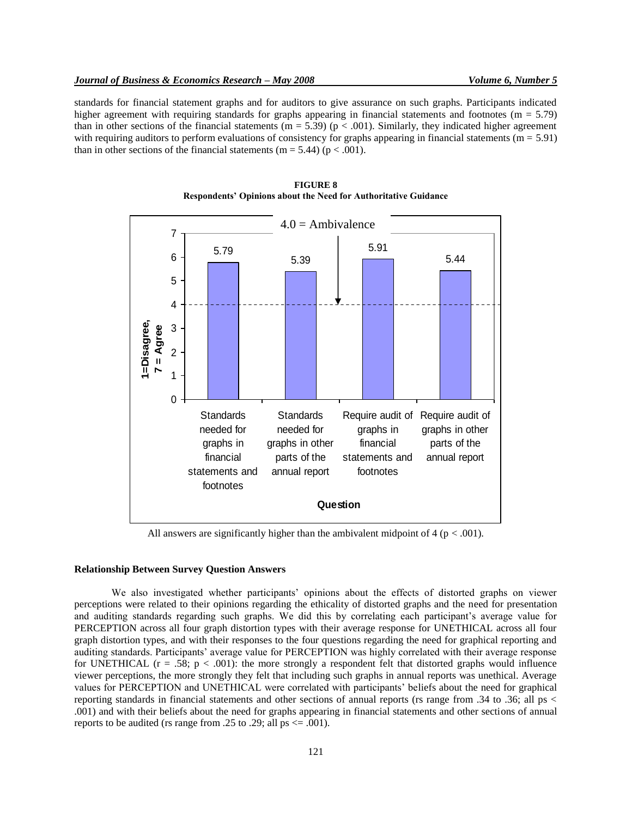standards for financial statement graphs and for auditors to give assurance on such graphs. Participants indicated higher agreement with requiring standards for graphs appearing in financial statements and footnotes (m = 5.79) than in other sections of the financial statements ( $m = 5.39$ ) ( $p < .001$ ). Similarly, they indicated higher agreement with requiring auditors to perform evaluations of consistency for graphs appearing in financial statements ( $m = 5.91$ ) than in other sections of the financial statements (m = 5.44) ( $p < .001$ ).





All answers are significantly higher than the ambivalent midpoint of  $4 (p < .001)$ .

#### **Relationship Between Survey Question Answers**

We also investigated whether participants' opinions about the effects of distorted graphs on viewer perceptions were related to their opinions regarding the ethicality of distorted graphs and the need for presentation and auditing standards regarding such graphs. We did this by correlating each participant's average value for PERCEPTION across all four graph distortion types with their average response for UNETHICAL across all four graph distortion types, and with their responses to the four questions regarding the need for graphical reporting and auditing standards. Participants' average value for PERCEPTION was highly correlated with their average response for UNETHICAL  $(r = .58; p < .001)$ : the more strongly a respondent felt that distorted graphs would influence viewer perceptions, the more strongly they felt that including such graphs in annual reports was unethical. Average values for PERCEPTION and UNETHICAL were correlated with participants' beliefs about the need for graphical reporting standards in financial statements and other sections of annual reports (rs range from .34 to .36; all ps < .001) and with their beliefs about the need for graphs appearing in financial statements and other sections of annual reports to be audited (rs range from .25 to .29; all ps  $\leq$  .001).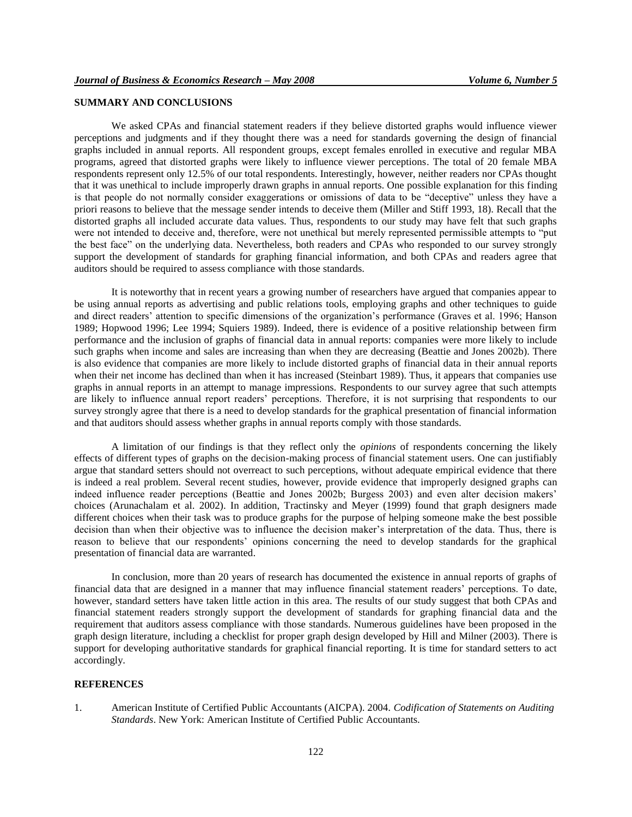#### **SUMMARY AND CONCLUSIONS**

We asked CPAs and financial statement readers if they believe distorted graphs would influence viewer perceptions and judgments and if they thought there was a need for standards governing the design of financial graphs included in annual reports. All respondent groups, except females enrolled in executive and regular MBA programs, agreed that distorted graphs were likely to influence viewer perceptions. The total of 20 female MBA respondents represent only 12.5% of our total respondents. Interestingly, however, neither readers nor CPAs thought that it was unethical to include improperly drawn graphs in annual reports. One possible explanation for this finding is that people do not normally consider exaggerations or omissions of data to be "deceptive" unless they have a priori reasons to believe that the message sender intends to deceive them (Miller and Stiff 1993, 18). Recall that the distorted graphs all included accurate data values. Thus, respondents to our study may have felt that such graphs were not intended to deceive and, therefore, were not unethical but merely represented permissible attempts to "put the best face" on the underlying data. Nevertheless, both readers and CPAs who responded to our survey strongly support the development of standards for graphing financial information, and both CPAs and readers agree that auditors should be required to assess compliance with those standards.

It is noteworthy that in recent years a growing number of researchers have argued that companies appear to be using annual reports as advertising and public relations tools, employing graphs and other techniques to guide and direct readers' attention to specific dimensions of the organization's performance (Graves et al. 1996; Hanson 1989; Hopwood 1996; Lee 1994; Squiers 1989). Indeed, there is evidence of a positive relationship between firm performance and the inclusion of graphs of financial data in annual reports: companies were more likely to include such graphs when income and sales are increasing than when they are decreasing (Beattie and Jones 2002b). There is also evidence that companies are more likely to include distorted graphs of financial data in their annual reports when their net income has declined than when it has increased (Steinbart 1989). Thus, it appears that companies use graphs in annual reports in an attempt to manage impressions. Respondents to our survey agree that such attempts are likely to influence annual report readers' perceptions. Therefore, it is not surprising that respondents to our survey strongly agree that there is a need to develop standards for the graphical presentation of financial information and that auditors should assess whether graphs in annual reports comply with those standards.

A limitation of our findings is that they reflect only the *opinions* of respondents concerning the likely effects of different types of graphs on the decision-making process of financial statement users. One can justifiably argue that standard setters should not overreact to such perceptions, without adequate empirical evidence that there is indeed a real problem. Several recent studies, however, provide evidence that improperly designed graphs can indeed influence reader perceptions (Beattie and Jones 2002b; Burgess 2003) and even alter decision makers' choices (Arunachalam et al. 2002). In addition, Tractinsky and Meyer (1999) found that graph designers made different choices when their task was to produce graphs for the purpose of helping someone make the best possible decision than when their objective was to influence the decision maker's interpretation of the data. Thus, there is reason to believe that our respondents' opinions concerning the need to develop standards for the graphical presentation of financial data are warranted.

In conclusion, more than 20 years of research has documented the existence in annual reports of graphs of financial data that are designed in a manner that may influence financial statement readers' perceptions. To date, however, standard setters have taken little action in this area. The results of our study suggest that both CPAs and financial statement readers strongly support the development of standards for graphing financial data and the requirement that auditors assess compliance with those standards. Numerous guidelines have been proposed in the graph design literature, including a checklist for proper graph design developed by Hill and Milner (2003). There is support for developing authoritative standards for graphical financial reporting. It is time for standard setters to act accordingly.

#### **REFERENCES**

1. American Institute of Certified Public Accountants (AICPA). 2004. *Codification of Statements on Auditing Standards*. New York: American Institute of Certified Public Accountants.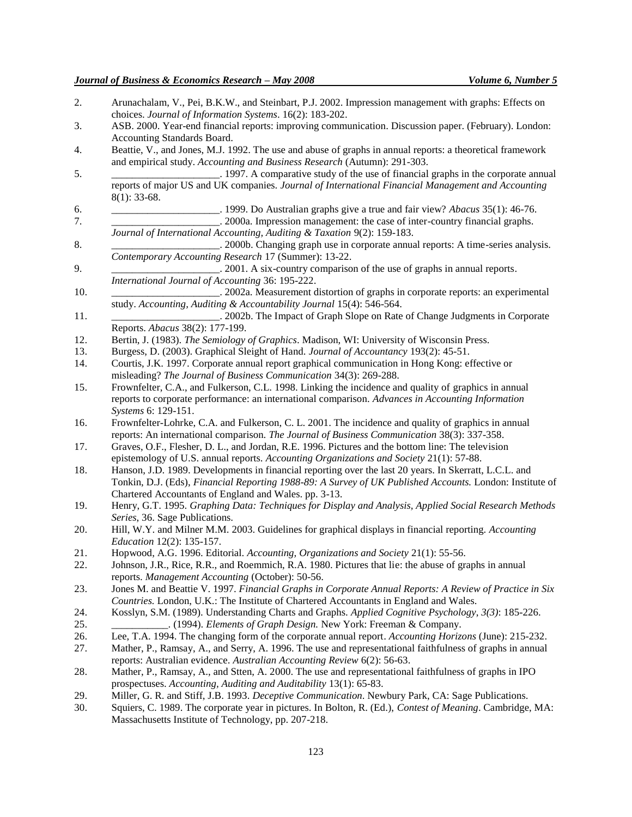- 2. Arunachalam, V., Pei, B.K.W., and Steinbart, P.J. 2002. Impression management with graphs: Effects on choices. *Journal of Information Systems*. 16(2): 183-202.
- 3. ASB. 2000. Year-end financial reports: improving communication. Discussion paper. (February). London: Accounting Standards Board.
- 4. Beattie, V., and Jones, M.J. 1992. The use and abuse of graphs in annual reports: a theoretical framework and empirical study. *Accounting and Business Research* (Autumn): 291-303.
- 5. \_\_\_\_\_\_\_\_\_\_\_\_\_\_\_\_\_\_\_\_\_. 1997. A comparative study of the use of financial graphs in the corporate annual reports of major US and UK companies. *Journal of International Financial Management and Accounting* 8(1): 33-68.
- 6. \_\_\_\_\_\_\_\_\_\_\_\_\_\_\_\_\_\_\_\_\_. 1999. Do Australian graphs give a true and fair view? *Abacus* 35(1): 46-76. 7. \_\_\_\_\_\_\_\_\_\_\_\_\_\_\_\_\_\_\_\_\_. 2000a. Impression management: the case of inter-country financial graphs.
- *Journal of International Accounting, Auditing & Taxation* 9(2): 159-183.
- 8. \_\_\_\_\_\_\_\_\_\_\_\_\_\_\_\_\_\_\_\_\_. 2000b. Changing graph use in corporate annual reports: A time-series analysis. *Contemporary Accounting Research* 17 (Summer): 13-22.
- 9. \_\_\_\_\_\_\_\_\_\_\_\_\_\_\_\_\_\_\_\_\_. 2001. A six-country comparison of the use of graphs in annual reports. *International Journal of Accounting* 36: 195-222.
- 10. \_\_\_\_\_\_\_\_\_\_\_\_\_\_\_\_\_\_\_\_\_. 2002a. Measurement distortion of graphs in corporate reports: an experimental study. *Accounting, Auditing & Accountability Journal* 15(4): 546-564.
- 11. \_\_\_\_\_\_\_\_\_\_\_\_\_\_\_\_\_\_\_\_\_. 2002b. The Impact of Graph Slope on Rate of Change Judgments in Corporate Reports. *Abacus* 38(2): 177-199.
- 12. Bertin, J. (1983). *The Semiology of Graphics*. Madison, WI: University of Wisconsin Press.
- 13. Burgess, D. (2003). Graphical Sleight of Hand. *Journal of Accountancy* 193(2): 45-51.
- 14. Courtis, J.K. 1997. Corporate annual report graphical communication in Hong Kong: effective or misleading? *The Journal of Business Communication* 34(3): 269-288.
- 15. Frownfelter, C.A., and Fulkerson, C.L. 1998. Linking the incidence and quality of graphics in annual reports to corporate performance: an international comparison. *Advances in Accounting Information Systems* 6: 129-151.
- 16. Frownfelter-Lohrke, C.A. and Fulkerson, C. L. 2001. The incidence and quality of graphics in annual reports: An international comparison. *The Journal of Business Communication* 38(3): 337-358.
- 17. Graves, O.F., Flesher, D. L., and Jordan, R.E. 1996. Pictures and the bottom line: The television epistemology of U.S. annual reports. *Accounting Organizations and Society* 21(1): 57-88.
- 18. Hanson, J.D. 1989. Developments in financial reporting over the last 20 years. In Skerratt, L.C.L. and Tonkin, D.J. (Eds), *Financial Reporting 1988-89: A Survey of UK Published Accounts.* London: Institute of Chartered Accountants of England and Wales. pp. 3-13.
- 19. Henry, G.T. 1995. *Graphing Data: Techniques for Display and Analysis, Applied Social Research Methods Series*, 36. Sage Publications.
- 20. Hill, W.Y. and Milner M.M. 2003. Guidelines for graphical displays in financial reporting. *Accounting Education* 12(2): 135-157.
- 21. Hopwood, A.G. 1996. Editorial. *Accounting, Organizations and Society* 21(1): 55-56.
- 22. Johnson, J.R., Rice, R.R., and Roemmich, R.A. 1980. Pictures that lie: the abuse of graphs in annual reports. *Management Accounting* (October): 50-56.
- 23. Jones M. and Beattie V. 1997. *Financial Graphs in Corporate Annual Reports: A Review of Practice in Six Countries.* London, U.K.: The Institute of Chartered Accountants in England and Wales.
- 24. Kosslyn, S.M. (1989). Understanding Charts and Graphs. *Applied Cognitive Psychology*, *3(3)*: 185-226. 25. \_\_\_\_\_\_\_\_\_\_\_. (1994). *Elements of Graph Design.* New York: Freeman & Company.
- 26. Lee, T.A. 1994. The changing form of the corporate annual report. *Accounting Horizons* (June): 215-232.
- 27. Mather, P., Ramsay, A., and Serry, A. 1996. The use and representational faithfulness of graphs in annual reports: Australian evidence. *Australian Accounting Review* 6(2): 56-63.
- 28. Mather, P., Ramsay, A., and Stten, A. 2000. The use and representational faithfulness of graphs in IPO prospectuses. *Accounting, Auditing and Auditability* 13(1): 65-83.
- 29. Miller, G. R. and Stiff, J.B. 1993. *Deceptive Communication*. Newbury Park, CA: Sage Publications.
- 30. Squiers, C. 1989. The corporate year in pictures. In Bolton, R. (Ed.), *Contest of Meaning*. Cambridge, MA: Massachusetts Institute of Technology, pp. 207-218.